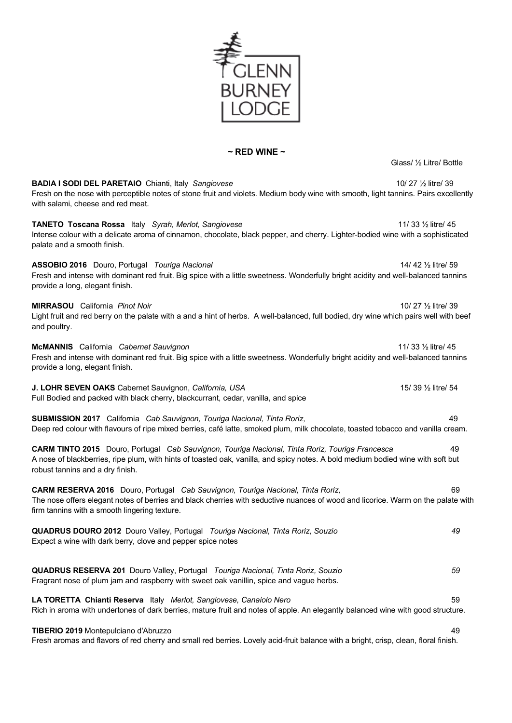

### **~ RED WINE ~**

Glass/ ½ Litre/ Bottle

**BADIA I SODI DEL PARETAIO** Chianti, Italy *Sangiovese* 10/ 27 ½ litre/ 39 Fresh on the nose with perceptible notes of stone fruit and violets. Medium body wine with smooth, light tannins. Pairs excellently with salami, cheese and red meat.

**TANETO Toscana Rossa** Italy *Syrah, Merlot, Sangiovese* 11/ 33 ½ litre/ 45 Intense colour with a delicate aroma of cinnamon, chocolate, black pepper, and cherry. Lighter-bodied wine with a sophisticated palate and a smooth finish.

**ASSOBIO 2016** Douro, Portugal *Touriga Nacional* 14/ 42 ½ litre/ 59 Fresh and intense with dominant red fruit. Big spice with a little sweetness. Wonderfully bright acidity and well-balanced tannins provide a long, elegant finish.

#### **MIRRASOU** California *Pinot Noir* 10/ 27 ½ litre/ 39

Light fruit and red berry on the palate with a and a hint of herbs. A well-balanced, full bodied, dry wine which pairs well with beef and poultry.

**McMANNIS** California *Cabernet Sauvignon* 11/ 33 ½ litre/ 45 Fresh and intense with dominant red fruit. Big spice with a little sweetness. Wonderfully bright acidity and well-balanced tannins provide a long, elegant finish.

**J. LOHR SEVEN OAKS** Cabernet Sauvignon, *California, USA* 15/ 39 1/2 litre/ 54 Full Bodied and packed with black cherry, blackcurrant, cedar, vanilla, and spice

**SUBMISSION 2017** California *Cab Sauvignon, Touriga Nacional, Tinta Roriz,* 49 Deep red colour with flavours of ripe mixed berries, café latte, smoked plum, milk chocolate, toasted tobacco and vanilla cream.

**CARM TINTO 2015** Douro, Portugal *Cab Sauvignon, Touriga Nacional, Tinta Roriz, Touriga Francesca* 49 A nose of blackberries, ripe plum, with hints of toasted oak, vanilla, and spicy notes. A bold medium bodied wine with soft but robust tannins and a dry finish.

**CARM RESERVA 2016** Douro, Portugal *Cab Sauvignon, Touriga Nacional, Tinta Roriz,* 69 The nose offers elegant notes of berries and black cherries with seductive nuances of wood and licorice. Warm on the palate with firm tannins with a smooth lingering texture.

**QUADRUS DOURO 2012** Douro Valley, Portugal *Touriga Nacional, Tinta Roriz, Souzio 49* Expect a wine with dark berry, clove and pepper spice notes

**QUADRUS RESERVA 201** Douro Valley, Portugal *Touriga Nacional, Tinta Roriz, Souzio 59*  Fragrant nose of plum jam and raspberry with sweet oak vanillin, spice and vague herbs.

**LA TORETTA Chianti Reserva** Italy *Merlot, Sangiovese, Canaiolo Nero* 59 Rich in aroma with undertones of dark berries, mature fruit and notes of apple. An elegantly balanced wine with good structure.

**TIBERIO 2019** Montepulciano d'Abruzzo 49 Fresh aromas and flavors of red cherry and small red berries. Lovely acid-fruit balance with a bright, crisp, clean, floral finish.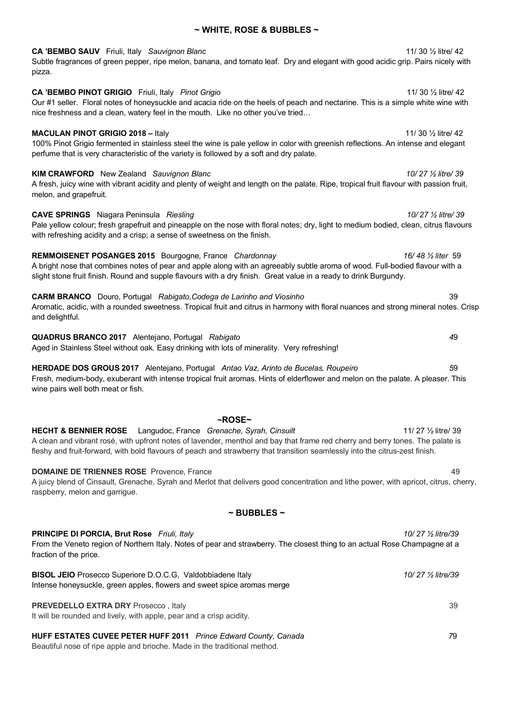| Subtle fragrances of green pepper, ripe melon, banana, and tomato leaf. Dry and elegant with good acidic grip. Pairs nicely with<br>pizza.                                                                                                                                       |                                  |
|----------------------------------------------------------------------------------------------------------------------------------------------------------------------------------------------------------------------------------------------------------------------------------|----------------------------------|
| <b>CA 'BEMBO PINOT GRIGIO</b> Friuli, Italy Pinot Grigio<br>Our #1 seller. Floral notes of honeysuckle and acacia ride on the heels of peach and nectarine. This is a simple white wine with<br>nice freshness and a clean, watery feel in the mouth. Like no other you've tried | 11/ 30 $\frac{1}{2}$ litre/ 42   |
| <b>MACULAN PINOT GRIGIO 2018 - Italy</b><br>100% Pinot Grigio fermented in stainless steel the wine is pale yellow in color with greenish reflections. An intense and elegant<br>perfume that is very characteristic of the variety is followed by a soft and dry palate.        | 11/ 30 1/ <sub>2</sub> litre/ 42 |
| <b>KIM CRAWFORD</b> New Zealand Sauvignon Blanc<br>A fresh, juicy wine with vibrant acidity and plenty of weight and length on the palate. Ripe, tropical fruit flavour with passion fruit,<br>melon, and grapefruit.                                                            | 10/27 % litre/39                 |
| <b>CAVE SPRINGS</b> Niagara Peninsula Riesling                                                                                                                                                                                                                                   | 10/27 1/2 litre/ 39              |

Pale yellow colour; fresh grapefruit and pineapple on the nose with floral notes; dry, light to medium bodied, clean, citrus flavours with refreshing acidity and a crisp; a sense of sweetness on the finish.

**REMMOISENET POSANGES 2015** Bourgogne, France *Chardonnay 16/ 48 ½ liter* 59 A bright nose that combines notes of pear and apple along with an agreeably subtle aroma of wood. Full-bodied flavour with a slight stone fruit finish. Round and supple flavours with a dry finish. Great value in a ready to drink Burgundy.

**CARM BRANCO** Douro, Portugal *Rabigato,Codega de Larinho and Viosinho* 39 Aromatic, acidic, with a rounded sweetness. Tropical fruit and citrus in harmony with floral nuances and strong mineral notes. Crisp and delightful.

**QUADRUS BRANCO 2017** Alentejano, Portugal *Rabigato 4*9 Aged in Stainless Steel without oak. Easy drinking with lots of minerality. Very refreshing!

**HERDADE DOS GROUS 2017** Alentejano, Portugal *Antao Vaz, Arinto de Bucelas, Roupeiro 5*9 Fresh, medium-body, exuberant with intense tropical fruit aromas. Hints of elderflower and melon on the palate. A pleaser. This wine pairs well both meat or fish.

**~ROSE~ HECHT & BENNIER ROSE** Langudoc, France *Grenache, Syrah, Cinsuilt* 11/ 27 ½ litre/ 39 A clean and vibrant rosé, with upfront notes of lavender, menthol and bay that frame red cherry and berry tones. The palate is fleshy and fruit-forward, with bold flavours of peach and strawberry that transition seamlessly into the citrus-zest finish.

**DOMAINE DE TRIENNES ROSE** Provence, France 49 A juicy blend of Cinsault, Grenache, Syrah and Merlot that delivers good concentration and lithe power, with apricot, citrus, cherry, raspberry, melon and garrigue.

#### **~ BUBBLES ~**

**PRINCIPE DI PORCIA, Brut Rose** *Friuli, Italy 10/ 27 ½ litre/39* From the Veneto region of Northern Italy. Notes of pear and strawberry. The closest thing to an actual Rose Champagne at a fraction of the price.

**BISOL JEIO** Prosecco Superiore D.O.C.G, Valdobbiadene Italy *10/ 27 ½ litre/39* Intense honeysuckle, green apples, flowers and sweet spice aromas merge **PREVEDELLO EXTRA DRY** Prosecco , Italy 39

It will be rounded and lively, with apple, pear and a crisp acidity.

**HUFF ESTATES CUVEE PETER HUFF 2011** *Prince Edward County, Canada 7*9 Beautiful nose of ripe apple and brioche. Made in the traditional method.

### **~ WHITE, ROSE & BUBBLES ~**

**CA 'BEMBO SAUV** Friuli, Italy *Sauvignon Blanc* 11/ 30 ½ litre/ 42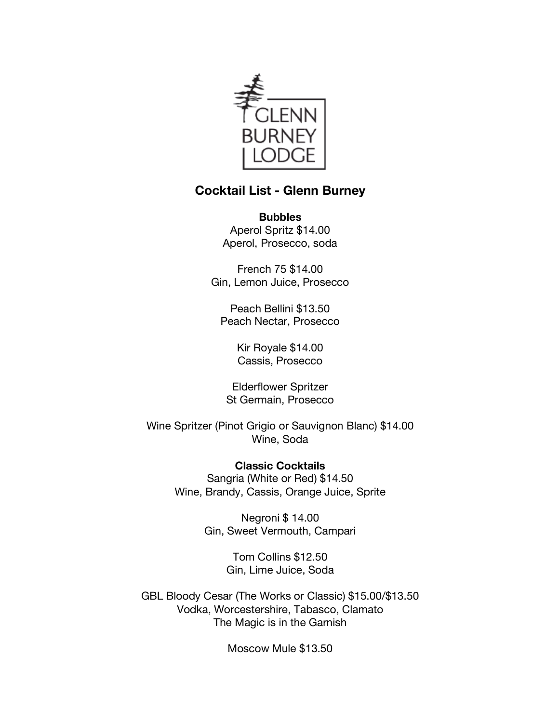

# **Cocktail List - Glenn Burney**

**Bubbles** Aperol Spritz \$14.00 Aperol, Prosecco, soda

French 75 \$14.00 Gin, Lemon Juice, Prosecco

Peach Bellini \$13.50 Peach Nectar, Prosecco

> Kir Royale \$14.00 Cassis, Prosecco

Elderflower Spritzer St Germain, Prosecco

Wine Spritzer (Pinot Grigio or Sauvignon Blanc) \$14.00 Wine, Soda

> **Classic Cocktails** Sangria (White or Red) \$14.50 Wine, Brandy, Cassis, Orange Juice, Sprite

> > Negroni \$ 14.00 Gin, Sweet Vermouth, Campari

> > > Tom Collins \$12.50 Gin, Lime Juice, Soda

GBL Bloody Cesar (The Works or Classic) \$15.00/\$13.50 Vodka, Worcestershire, Tabasco, Clamato The Magic is in the Garnish

Moscow Mule \$13.50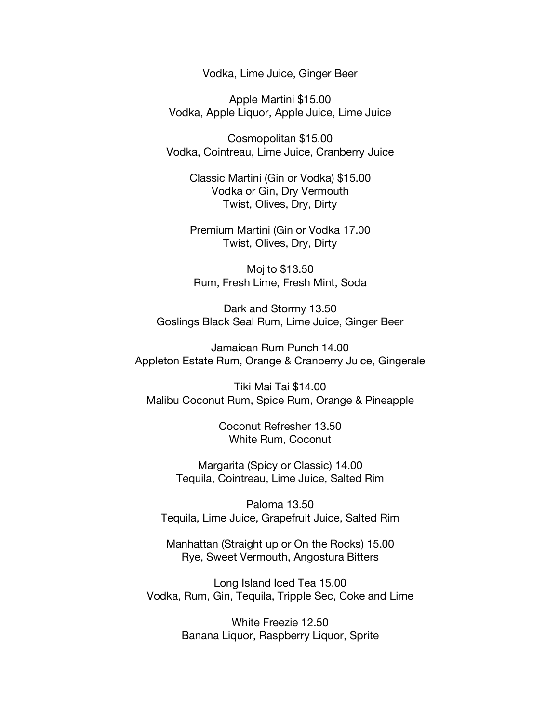Vodka, Lime Juice, Ginger Beer

Apple Martini \$15.00 Vodka, Apple Liquor, Apple Juice, Lime Juice

Cosmopolitan \$15.00 Vodka, Cointreau, Lime Juice, Cranberry Juice

Classic Martini (Gin or Vodka) \$15.00 Vodka or Gin, Dry Vermouth Twist, Olives, Dry, Dirty

Premium Martini (Gin or Vodka 17.00 Twist, Olives, Dry, Dirty

Mojito \$13.50 Rum, Fresh Lime, Fresh Mint, Soda

Dark and Stormy 13.50 Goslings Black Seal Rum, Lime Juice, Ginger Beer

Jamaican Rum Punch 14.00 Appleton Estate Rum, Orange & Cranberry Juice, Gingerale

Tiki Mai Tai \$14.00 Malibu Coconut Rum, Spice Rum, Orange & Pineapple

> Coconut Refresher 13.50 White Rum, Coconut

Margarita (Spicy or Classic) 14.00 Tequila, Cointreau, Lime Juice, Salted Rim

Paloma 13.50 Tequila, Lime Juice, Grapefruit Juice, Salted Rim

Manhattan (Straight up or On the Rocks) 15.00 Rye, Sweet Vermouth, Angostura Bitters

Long Island Iced Tea 15.00 Vodka, Rum, Gin, Tequila, Tripple Sec, Coke and Lime

> White Freezie 12.50 Banana Liquor, Raspberry Liquor, Sprite